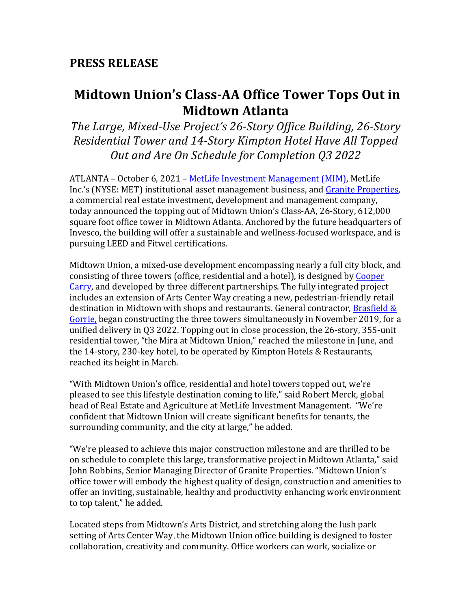# **PRESS RELEASE**

# **Midtown Union's Class-AA Office Tower Tops Out in Midtown Atlanta**

*The Large, Mixed-Use Project's 26-Story Office Building, 26-Story Residential Tower and 14-Story Kimpton Hotel Have All Topped Out and Are On Schedule for Completion Q3 2022*

ATLANTA - October 6, 2021 - MetLife Investment Management (MIM), MetLife Inc.'s (NYSE: MET) institutional asset management business, and Granite Properties, a commercial real estate investment, development and management company, today announced the topping out of Midtown Union's Class-AA, 26-Story, 612,000 square foot office tower in Midtown Atlanta. Anchored by the future headquarters of Invesco, the building will offer a sustainable and wellness-focused workspace, and is pursuing LEED and Fitwel certifications.

Midtown Union, a mixed-use development encompassing nearly a full city block, and consisting of three towers (office, residential and a hotel), is designed by Cooper Carry, and developed by three different partnerships. The fully integrated project includes an extension of Arts Center Way creating a new, pedestrian-friendly retail destination in Midtown with shops and restaurants. General contractor, Brasfield  $\&$ Gorrie, began constructing the three towers simultaneously in November 2019, for a unified delivery in Q3 2022. Topping out in close procession, the 26-story, 355-unit residential tower, "the Mira at Midtown Union," reached the milestone in June, and the 14-story, 230-key hotel, to be operated by Kimpton Hotels & Restaurants, reached its height in March.

"With Midtown Union's office, residential and hotel towers topped out, we're pleased to see this lifestyle destination coming to life," said Robert Merck, global head of Real Estate and Agriculture at MetLife Investment Management. "We're confident that Midtown Union will create significant benefits for tenants, the surrounding community, and the city at large," he added.

"We're pleased to achieve this major construction milestone and are thrilled to be on schedule to complete this large, transformative project in Midtown Atlanta," said John Robbins, Senior Managing Director of Granite Properties. "Midtown Union's office tower will embody the highest quality of design, construction and amenities to offer an inviting, sustainable, healthy and productivity enhancing work environment to top talent," he added.

Located steps from Midtown's Arts District, and stretching along the lush park setting of Arts Center Way, the Midtown Union office building is designed to foster collaboration, creativity and community. Office workers can work, socialize or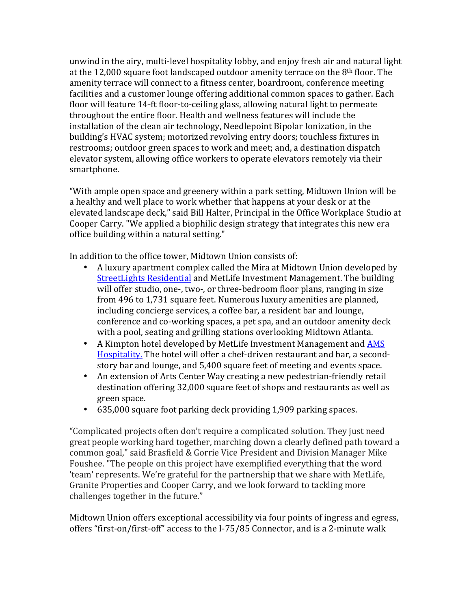unwind in the airy, multi-level hospitality lobby, and enjoy fresh air and natural light at the  $12,000$  square foot landscaped outdoor amenity terrace on the  $8<sup>th</sup>$  floor. The amenity terrace will connect to a fitness center, boardroom, conference meeting facilities and a customer lounge offering additional common spaces to gather. Each floor will feature 14-ft floor-to-ceiling glass, allowing natural light to permeate throughout the entire floor. Health and wellness features will include the installation of the clean air technology, Needlepoint Bipolar Ionization, in the building's HVAC system; motorized revolving entry doors; touchless fixtures in restrooms; outdoor green spaces to work and meet; and, a destination dispatch elevator system, allowing office workers to operate elevators remotely via their smartphone.

"With ample open space and greenery within a park setting, Midtown Union will be a healthy and well place to work whether that happens at your desk or at the elevated landscape deck," said Bill Halter, Principal in the Office Workplace Studio at Cooper Carry. "We applied a biophilic design strategy that integrates this new era office building within a natural setting."

In addition to the office tower, Midtown Union consists of:

- A luxury apartment complex called the Mira at Midtown Union developed by StreetLights Residential and MetLife Investment Management. The building will offer studio, one-, two-, or three-bedroom floor plans, ranging in size from 496 to 1,731 square feet. Numerous luxury amenities are planned, including concierge services, a coffee bar, a resident bar and lounge, conference and co-working spaces, a pet spa, and an outdoor amenity deck with a pool, seating and grilling stations overlooking Midtown Atlanta.
- A Kimpton hotel developed by MetLife Investment Management and AMS Hospitality. The hotel will offer a chef-driven restaurant and bar, a secondstory bar and lounge, and 5,400 square feet of meeting and events space.
- An extension of Arts Center Way creating a new pedestrian-friendly retail destination offering 32,000 square feet of shops and restaurants as well as green space.
- 635,000 square foot parking deck providing 1,909 parking spaces.

"Complicated projects often don't require a complicated solution. They just need great people working hard together, marching down a clearly defined path toward a common goal," said Brasfield & Gorrie Vice President and Division Manager Mike Foushee. "The people on this project have exemplified everything that the word 'team' represents. We're grateful for the partnership that we share with MetLife, Granite Properties and Cooper Carry, and we look forward to tackling more challenges together in the future."

Midtown Union offers exceptional accessibility via four points of ingress and egress, offers "first-on/first-off" access to the I-75/85 Connector, and is a 2-minute walk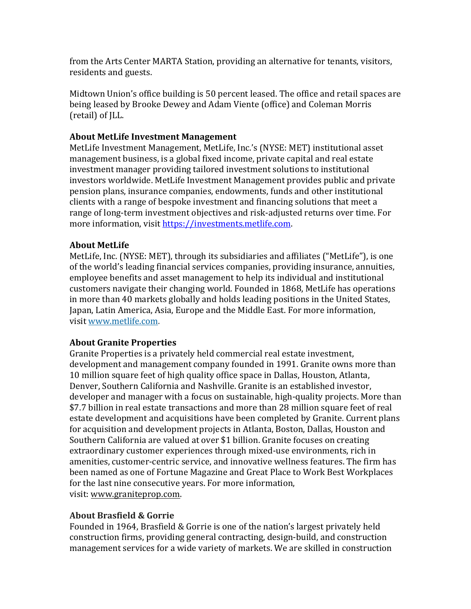from the Arts Center MARTA Station, providing an alternative for tenants, visitors, residents and guests.

Midtown Union's office building is 50 percent leased. The office and retail spaces are being leased by Brooke Dewey and Adam Viente (office) and Coleman Morris (retail) of ILL.

#### **About MetLife Investment Management**

MetLife Investment Management, MetLife, Inc.'s (NYSE: MET) institutional asset management business, is a global fixed income, private capital and real estate investment manager providing tailored investment solutions to institutional investors worldwide. MetLife Investment Management provides public and private pension plans, insurance companies, endowments, funds and other institutional clients with a range of bespoke investment and financing solutions that meet a range of long-term investment objectives and risk-adjusted returns over time. For more information, visit https://investments.metlife.com.

#### **About MetLife**

MetLife, Inc. (NYSE: MET), through its subsidiaries and affiliates ("MetLife"), is one of the world's leading financial services companies, providing insurance, annuities, employee benefits and asset management to help its individual and institutional customers navigate their changing world. Founded in 1868, MetLife has operations in more than 40 markets globally and holds leading positions in the United States, Japan, Latin America, Asia, Europe and the Middle East. For more information, visit www.metlife.com.

### **About Granite Properties**

Granite Properties is a privately held commercial real estate investment, development and management company founded in 1991. Granite owns more than 10 million square feet of high quality office space in Dallas, Houston, Atlanta, Denver, Southern California and Nashville. Granite is an established investor, developer and manager with a focus on sustainable, high-quality projects. More than \$7.7 billion in real estate transactions and more than 28 million square feet of real estate development and acquisitions have been completed by Granite. Current plans for acquisition and development projects in Atlanta, Boston, Dallas, Houston and Southern California are valued at over \$1 billion. Granite focuses on creating extraordinary customer experiences through mixed-use environments, rich in amenities, customer-centric service, and innovative wellness features. The firm has been named as one of Fortune Magazine and Great Place to Work Best Workplaces for the last nine consecutive years. For more information, visit: www.graniteprop.com.

#### **About Brasfield & Gorrie**

Founded in 1964, Brasfield & Gorrie is one of the nation's largest privately held construction firms, providing general contracting, design-build, and construction management services for a wide variety of markets. We are skilled in construction